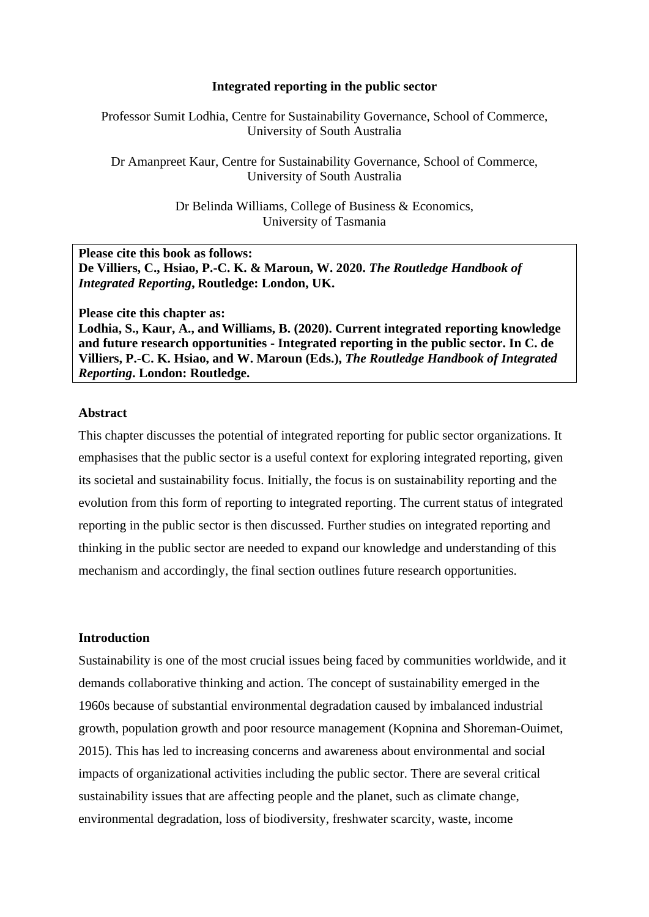#### **Integrated reporting in the public sector**

Professor Sumit Lodhia, Centre for Sustainability Governance, School of Commerce, University of South Australia

Dr Amanpreet Kaur, Centre for Sustainability Governance, School of Commerce, University of South Australia

> Dr Belinda Williams, College of Business & Economics, University of Tasmania

# **Please cite this book as follows: De Villiers, C., Hsiao, P.-C. K. & Maroun, W. 2020.** *The Routledge Handbook of Integrated Reporting***, Routledge: London, UK.**

**Please cite this chapter as:**

**Lodhia, S., Kaur, A., and Williams, B. (2020). Current integrated reporting knowledge and future research opportunities - Integrated reporting in the public sector. In C. de Villiers, P.-C. K. Hsiao, and W. Maroun (Eds.),** *The Routledge Handbook of Integrated Reporting***. London: Routledge.**

## **Abstract**

This chapter discusses the potential of integrated reporting for public sector organizations. It emphasises that the public sector is a useful context for exploring integrated reporting, given its societal and sustainability focus. Initially, the focus is on sustainability reporting and the evolution from this form of reporting to integrated reporting. The current status of integrated reporting in the public sector is then discussed. Further studies on integrated reporting and thinking in the public sector are needed to expand our knowledge and understanding of this mechanism and accordingly, the final section outlines future research opportunities.

## **Introduction**

Sustainability is one of the most crucial issues being faced by communities worldwide, and it demands collaborative thinking and action. The concept of sustainability emerged in the 1960s because of substantial environmental degradation caused by imbalanced industrial growth, population growth and poor resource management (Kopnina and Shoreman-Ouimet, 2015). This has led to increasing concerns and awareness about environmental and social impacts of organizational activities including the public sector. There are several critical sustainability issues that are affecting people and the planet, such as climate change, environmental degradation, loss of biodiversity, freshwater scarcity, waste, income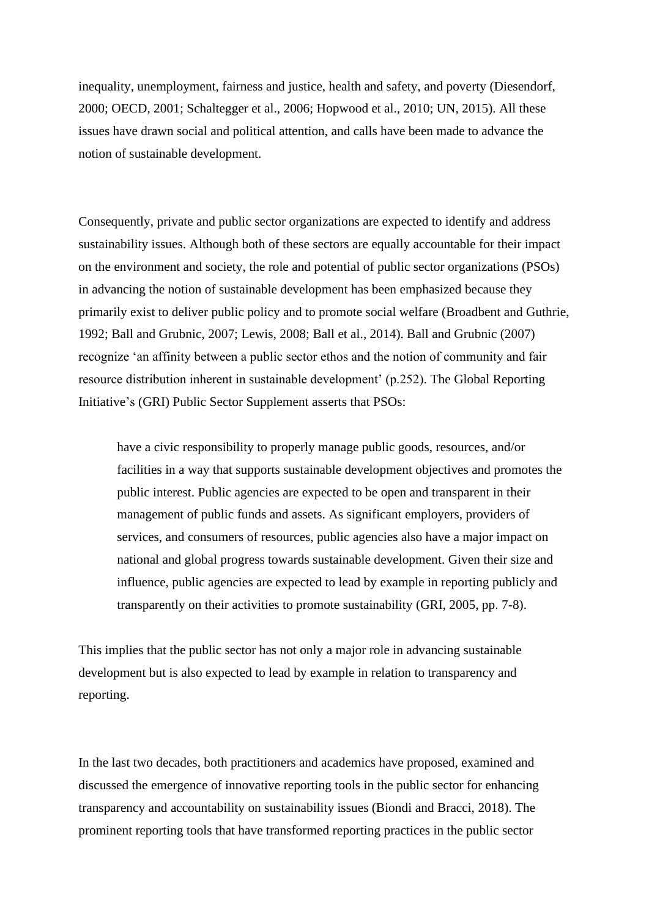inequality, unemployment, fairness and justice, health and safety, and poverty (Diesendorf, 2000; OECD, 2001; Schaltegger et al., 2006; Hopwood et al., 2010; UN, 2015). All these issues have drawn social and political attention, and calls have been made to advance the notion of sustainable development.

Consequently, private and public sector organizations are expected to identify and address sustainability issues. Although both of these sectors are equally accountable for their impact on the environment and society, the role and potential of public sector organizations (PSOs) in advancing the notion of sustainable development has been emphasized because they primarily exist to deliver public policy and to promote social welfare (Broadbent and Guthrie, 1992; Ball and Grubnic, 2007; Lewis, 2008; Ball et al., 2014). Ball and Grubnic (2007) recognize 'an affinity between a public sector ethos and the notion of community and fair resource distribution inherent in sustainable development' (p.252). The Global Reporting Initiative's (GRI) Public Sector Supplement asserts that PSOs:

have a civic responsibility to properly manage public goods, resources, and/or facilities in a way that supports sustainable development objectives and promotes the public interest. Public agencies are expected to be open and transparent in their management of public funds and assets. As significant employers, providers of services, and consumers of resources, public agencies also have a major impact on national and global progress towards sustainable development. Given their size and influence, public agencies are expected to lead by example in reporting publicly and transparently on their activities to promote sustainability (GRI, 2005, pp. 7-8).

This implies that the public sector has not only a major role in advancing sustainable development but is also expected to lead by example in relation to transparency and reporting.

In the last two decades, both practitioners and academics have proposed, examined and discussed the emergence of innovative reporting tools in the public sector for enhancing transparency and accountability on sustainability issues (Biondi and Bracci, 2018). The prominent reporting tools that have transformed reporting practices in the public sector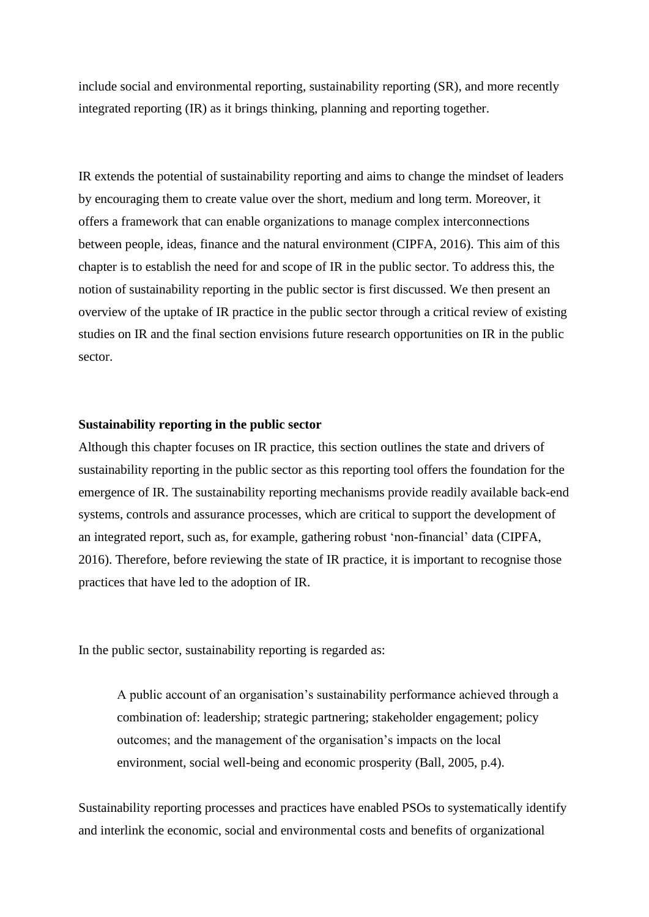include social and environmental reporting, sustainability reporting (SR), and more recently integrated reporting (IR) as it brings thinking, planning and reporting together.

IR extends the potential of sustainability reporting and aims to change the mindset of leaders by encouraging them to create value over the short, medium and long term. Moreover, it offers a framework that can enable organizations to manage complex interconnections between people, ideas, finance and the natural environment (CIPFA, 2016). This aim of this chapter is to establish the need for and scope of IR in the public sector. To address this, the notion of sustainability reporting in the public sector is first discussed. We then present an overview of the uptake of IR practice in the public sector through a critical review of existing studies on IR and the final section envisions future research opportunities on IR in the public sector.

## **Sustainability reporting in the public sector**

Although this chapter focuses on IR practice, this section outlines the state and drivers of sustainability reporting in the public sector as this reporting tool offers the foundation for the emergence of IR. The sustainability reporting mechanisms provide readily available back-end systems, controls and assurance processes, which are critical to support the development of an integrated report, such as, for example, gathering robust 'non-financial' data (CIPFA, 2016). Therefore, before reviewing the state of IR practice, it is important to recognise those practices that have led to the adoption of IR.

In the public sector, sustainability reporting is regarded as:

A public account of an organisation's sustainability performance achieved through a combination of: leadership; strategic partnering; stakeholder engagement; policy outcomes; and the management of the organisation's impacts on the local environment, social well-being and economic prosperity (Ball, 2005, p.4).

Sustainability reporting processes and practices have enabled PSOs to systematically identify and interlink the economic, social and environmental costs and benefits of organizational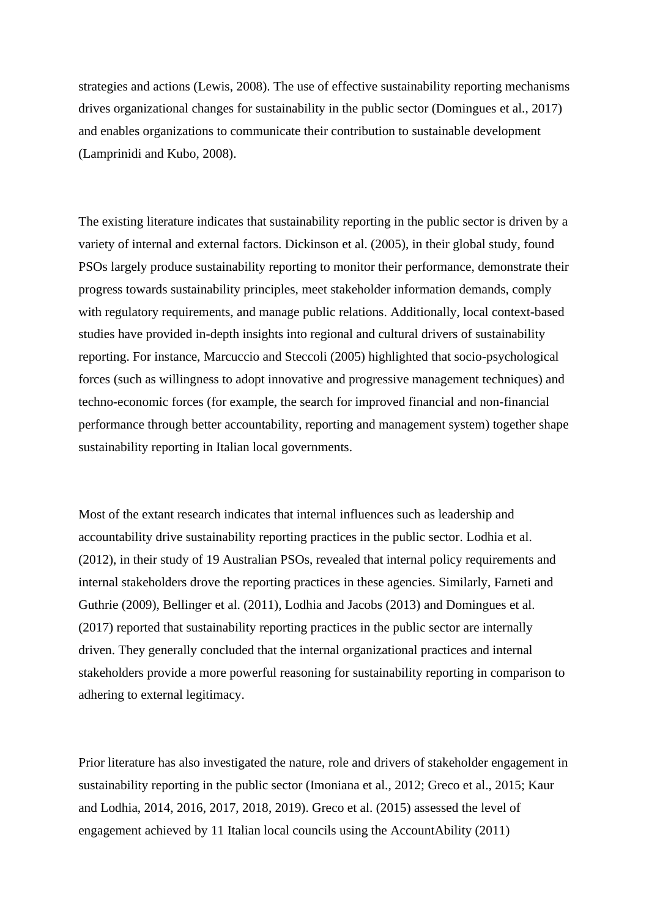strategies and actions (Lewis, 2008). The use of effective sustainability reporting mechanisms drives organizational changes for sustainability in the public sector (Domingues et al., 2017) and enables organizations to communicate their contribution to sustainable development (Lamprinidi and Kubo, 2008).

The existing literature indicates that sustainability reporting in the public sector is driven by a variety of internal and external factors. Dickinson et al. (2005), in their global study, found PSOs largely produce sustainability reporting to monitor their performance, demonstrate their progress towards sustainability principles, meet stakeholder information demands, comply with regulatory requirements, and manage public relations. Additionally, local context-based studies have provided in-depth insights into regional and cultural drivers of sustainability reporting. For instance, Marcuccio and Steccoli (2005) highlighted that socio-psychological forces (such as willingness to adopt innovative and progressive management techniques) and techno-economic forces (for example, the search for improved financial and non-financial performance through better accountability, reporting and management system) together shape sustainability reporting in Italian local governments.

Most of the extant research indicates that internal influences such as leadership and accountability drive sustainability reporting practices in the public sector. Lodhia et al. (2012), in their study of 19 Australian PSOs, revealed that internal policy requirements and internal stakeholders drove the reporting practices in these agencies. Similarly, Farneti and Guthrie (2009), Bellinger et al. (2011), Lodhia and Jacobs (2013) and Domingues et al. (2017) reported that sustainability reporting practices in the public sector are internally driven. They generally concluded that the internal organizational practices and internal stakeholders provide a more powerful reasoning for sustainability reporting in comparison to adhering to external legitimacy.

Prior literature has also investigated the nature, role and drivers of stakeholder engagement in sustainability reporting in the public sector (Imoniana et al., 2012; Greco et al., 2015; Kaur and Lodhia, 2014, 2016, 2017, 2018, 2019). Greco et al. (2015) assessed the level of engagement achieved by 11 Italian local councils using the AccountAbility (2011)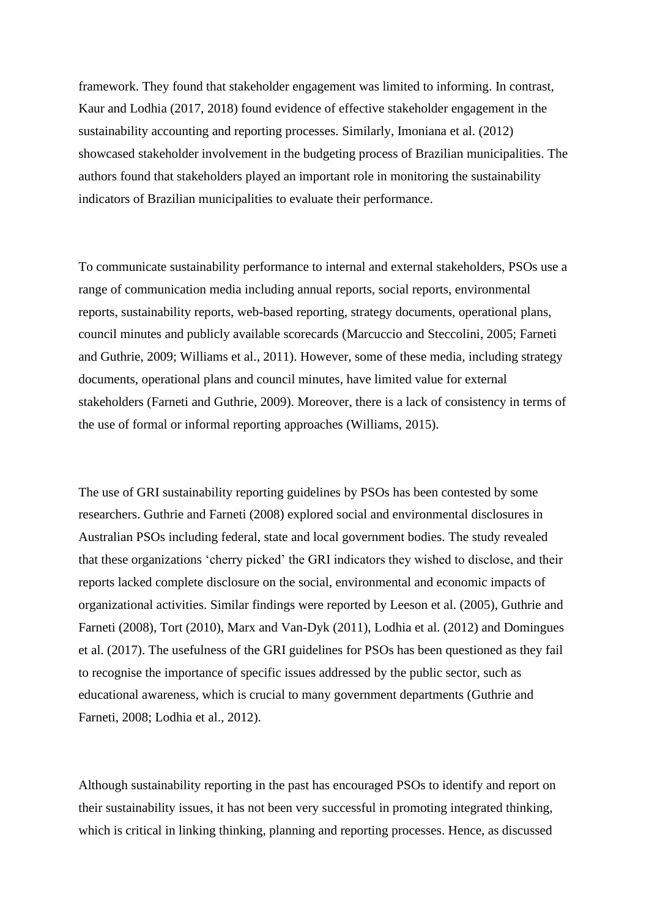framework. They found that stakeholder engagement was limited to informing. In contrast, Kaur and Lodhia (2017, 2018) found evidence of effective stakeholder engagement in the sustainability accounting and reporting processes. Similarly, Imoniana et al. (2012) showcased stakeholder involvement in the budgeting process of Brazilian municipalities. The authors found that stakeholders played an important role in monitoring the sustainability indicators of Brazilian municipalities to evaluate their performance.

To communicate sustainability performance to internal and external stakeholders, PSOs use a range of communication media including annual reports, social reports, environmental reports, sustainability reports, web-based reporting, strategy documents, operational plans, council minutes and publicly available scorecards (Marcuccio and Steccolini, 2005; Farneti and Guthrie, 2009; Williams et al., 2011). However, some of these media, including strategy documents, operational plans and council minutes, have limited value for external stakeholders (Farneti and Guthrie, 2009). Moreover, there is a lack of consistency in terms of the use of formal or informal reporting approaches (Williams, 2015).

The use of GRI sustainability reporting guidelines by PSOs has been contested by some researchers. Guthrie and Farneti (2008) explored social and environmental disclosures in Australian PSOs including federal, state and local government bodies. The study revealed that these organizations 'cherry picked' the GRI indicators they wished to disclose, and their reports lacked complete disclosure on the social, environmental and economic impacts of organizational activities. Similar findings were reported by Leeson et al. (2005), Guthrie and Farneti (2008), Tort (2010), Marx and Van-Dyk (2011), Lodhia et al. (2012) and Domingues et al. (2017). The usefulness of the GRI guidelines for PSOs has been questioned as they fail to recognise the importance of specific issues addressed by the public sector, such as educational awareness, which is crucial to many government departments (Guthrie and Farneti, 2008; Lodhia et al., 2012).

Although sustainability reporting in the past has encouraged PSOs to identify and report on their sustainability issues, it has not been very successful in promoting integrated thinking, which is critical in linking thinking, planning and reporting processes. Hence, as discussed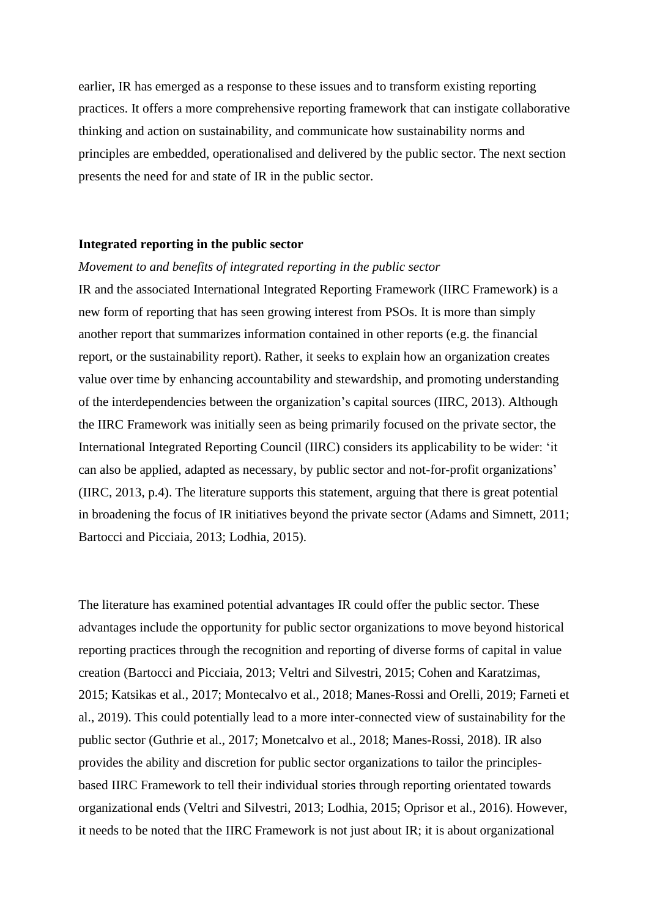earlier, IR has emerged as a response to these issues and to transform existing reporting practices. It offers a more comprehensive reporting framework that can instigate collaborative thinking and action on sustainability, and communicate how sustainability norms and principles are embedded, operationalised and delivered by the public sector. The next section presents the need for and state of IR in the public sector.

#### **Integrated reporting in the public sector**

#### *Movement to and benefits of integrated reporting in the public sector*

IR and the associated International Integrated Reporting Framework (IIRC Framework) is a new form of reporting that has seen growing interest from PSOs. It is more than simply another report that summarizes information contained in other reports (e.g. the financial report, or the sustainability report). Rather, it seeks to explain how an organization creates value over time by enhancing accountability and stewardship, and promoting understanding of the interdependencies between the organization's capital sources (IIRC, 2013). Although the IIRC Framework was initially seen as being primarily focused on the private sector, the International Integrated Reporting Council (IIRC) considers its applicability to be wider: 'it can also be applied, adapted as necessary, by public sector and not-for-profit organizations' (IIRC, 2013, p.4). The literature supports this statement, arguing that there is great potential in broadening the focus of IR initiatives beyond the private sector (Adams and Simnett, 2011; Bartocci and Picciaia, 2013; Lodhia, 2015).

The literature has examined potential advantages IR could offer the public sector. These advantages include the opportunity for public sector organizations to move beyond historical reporting practices through the recognition and reporting of diverse forms of capital in value creation (Bartocci and Picciaia, 2013; Veltri and Silvestri, 2015; Cohen and Karatzimas, 2015; Katsikas et al., 2017; Montecalvo et al., 2018; Manes-Rossi and Orelli, 2019; Farneti et al., 2019). This could potentially lead to a more inter-connected view of sustainability for the public sector (Guthrie et al., 2017; Monetcalvo et al., 2018; Manes-Rossi, 2018). IR also provides the ability and discretion for public sector organizations to tailor the principlesbased IIRC Framework to tell their individual stories through reporting orientated towards organizational ends (Veltri and Silvestri, 2013; Lodhia, 2015; Oprisor et al., 2016). However, it needs to be noted that the IIRC Framework is not just about IR; it is about organizational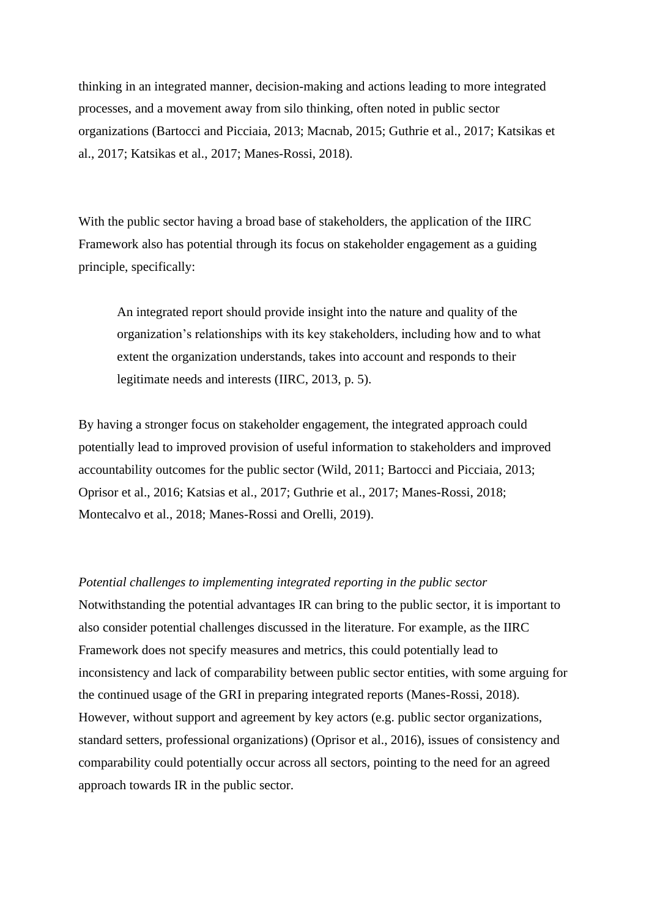thinking in an integrated manner, decision-making and actions leading to more integrated processes, and a movement away from silo thinking, often noted in public sector organizations (Bartocci and Picciaia, 2013; Macnab, 2015; Guthrie et al., 2017; Katsikas et al., 2017; Katsikas et al., 2017; Manes-Rossi, 2018).

With the public sector having a broad base of stakeholders, the application of the IIRC Framework also has potential through its focus on stakeholder engagement as a guiding principle, specifically:

An integrated report should provide insight into the nature and quality of the organization's relationships with its key stakeholders, including how and to what extent the organization understands, takes into account and responds to their legitimate needs and interests (IIRC, 2013, p. 5).

By having a stronger focus on stakeholder engagement, the integrated approach could potentially lead to improved provision of useful information to stakeholders and improved accountability outcomes for the public sector (Wild, 2011; Bartocci and Picciaia, 2013; Oprisor et al., 2016; Katsias et al., 2017; Guthrie et al., 2017; Manes-Rossi, 2018; Montecalvo et al., 2018; Manes-Rossi and Orelli, 2019).

## *Potential challenges to implementing integrated reporting in the public sector*

Notwithstanding the potential advantages IR can bring to the public sector, it is important to also consider potential challenges discussed in the literature. For example, as the IIRC Framework does not specify measures and metrics, this could potentially lead to inconsistency and lack of comparability between public sector entities, with some arguing for the continued usage of the GRI in preparing integrated reports (Manes-Rossi, 2018). However, without support and agreement by key actors (e.g. public sector organizations, standard setters, professional organizations) (Oprisor et al., 2016), issues of consistency and comparability could potentially occur across all sectors, pointing to the need for an agreed approach towards IR in the public sector.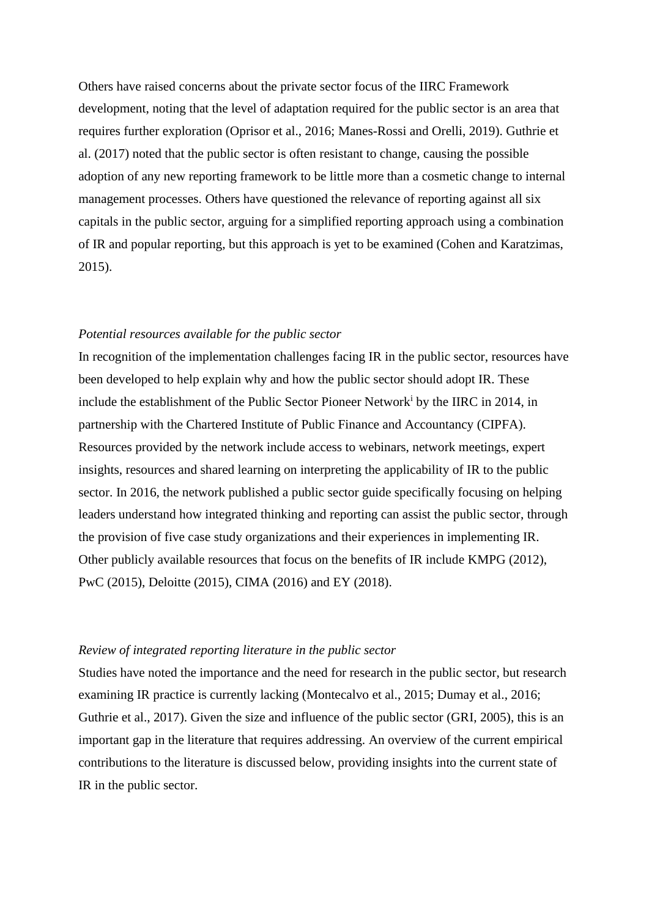Others have raised concerns about the private sector focus of the IIRC Framework development, noting that the level of adaptation required for the public sector is an area that requires further exploration (Oprisor et al., 2016; Manes-Rossi and Orelli, 2019). Guthrie et al. (2017) noted that the public sector is often resistant to change, causing the possible adoption of any new reporting framework to be little more than a cosmetic change to internal management processes. Others have questioned the relevance of reporting against all six capitals in the public sector, arguing for a simplified reporting approach using a combination of IR and popular reporting, but this approach is yet to be examined (Cohen and Karatzimas, 2015).

#### *Potential resources available for the public sector*

In recognition of the implementation challenges facing IR in the public sector, resources have been developed to help explain why and how the public sector should adopt IR. These include the establishment of the Public Sector Pioneer Network<sup>i</sup> by the IIRC in 2014, in partnership with the Chartered Institute of Public Finance and Accountancy (CIPFA). Resources provided by the network include access to webinars, network meetings, expert insights, resources and shared learning on interpreting the applicability of IR to the public sector. In 2016, the network published a public sector guide specifically focusing on helping leaders understand how integrated thinking and reporting can assist the public sector, through the provision of five case study organizations and their experiences in implementing IR. Other publicly available resources that focus on the benefits of IR include KMPG (2012), PwC (2015), Deloitte (2015), CIMA (2016) and EY (2018).

## *Review of integrated reporting literature in the public sector*

Studies have noted the importance and the need for research in the public sector, but research examining IR practice is currently lacking (Montecalvo et al., 2015; Dumay et al., 2016; Guthrie et al., 2017). Given the size and influence of the public sector (GRI, 2005), this is an important gap in the literature that requires addressing. An overview of the current empirical contributions to the literature is discussed below, providing insights into the current state of IR in the public sector.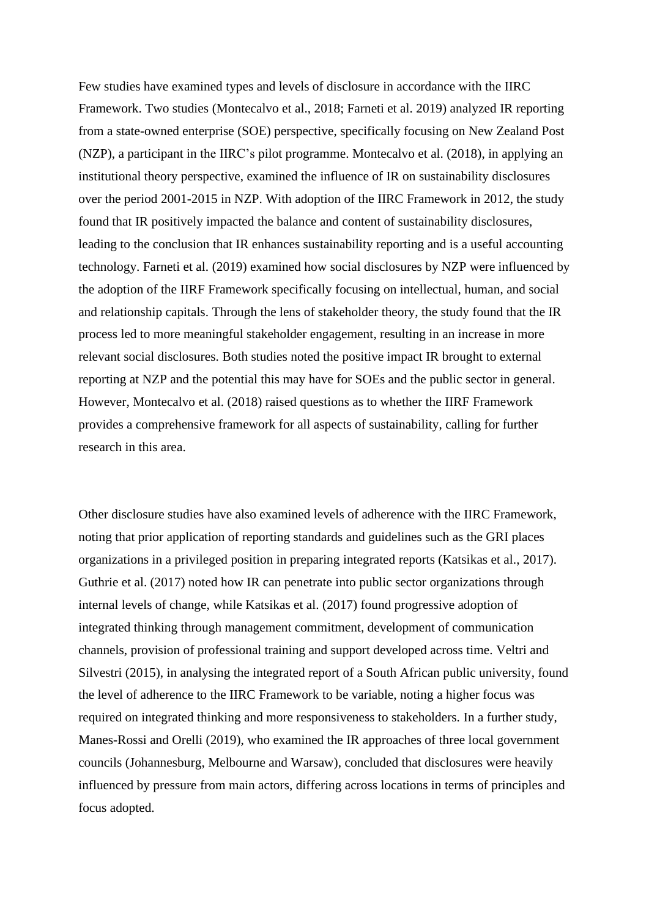Few studies have examined types and levels of disclosure in accordance with the IIRC Framework. Two studies (Montecalvo et al., 2018; Farneti et al. 2019) analyzed IR reporting from a state-owned enterprise (SOE) perspective, specifically focusing on New Zealand Post (NZP), a participant in the IIRC's pilot programme. Montecalvo et al. (2018), in applying an institutional theory perspective, examined the influence of IR on sustainability disclosures over the period 2001-2015 in NZP. With adoption of the IIRC Framework in 2012, the study found that IR positively impacted the balance and content of sustainability disclosures, leading to the conclusion that IR enhances sustainability reporting and is a useful accounting technology. Farneti et al. (2019) examined how social disclosures by NZP were influenced by the adoption of the IIRF Framework specifically focusing on intellectual, human, and social and relationship capitals. Through the lens of stakeholder theory, the study found that the IR process led to more meaningful stakeholder engagement, resulting in an increase in more relevant social disclosures. Both studies noted the positive impact IR brought to external reporting at NZP and the potential this may have for SOEs and the public sector in general. However, Montecalvo et al. (2018) raised questions as to whether the IIRF Framework provides a comprehensive framework for all aspects of sustainability, calling for further research in this area.

Other disclosure studies have also examined levels of adherence with the IIRC Framework, noting that prior application of reporting standards and guidelines such as the GRI places organizations in a privileged position in preparing integrated reports (Katsikas et al., 2017). Guthrie et al. (2017) noted how IR can penetrate into public sector organizations through internal levels of change, while Katsikas et al. (2017) found progressive adoption of integrated thinking through management commitment, development of communication channels, provision of professional training and support developed across time. Veltri and Silvestri (2015), in analysing the integrated report of a South African public university, found the level of adherence to the IIRC Framework to be variable, noting a higher focus was required on integrated thinking and more responsiveness to stakeholders. In a further study, Manes-Rossi and Orelli (2019), who examined the IR approaches of three local government councils (Johannesburg, Melbourne and Warsaw), concluded that disclosures were heavily influenced by pressure from main actors, differing across locations in terms of principles and focus adopted.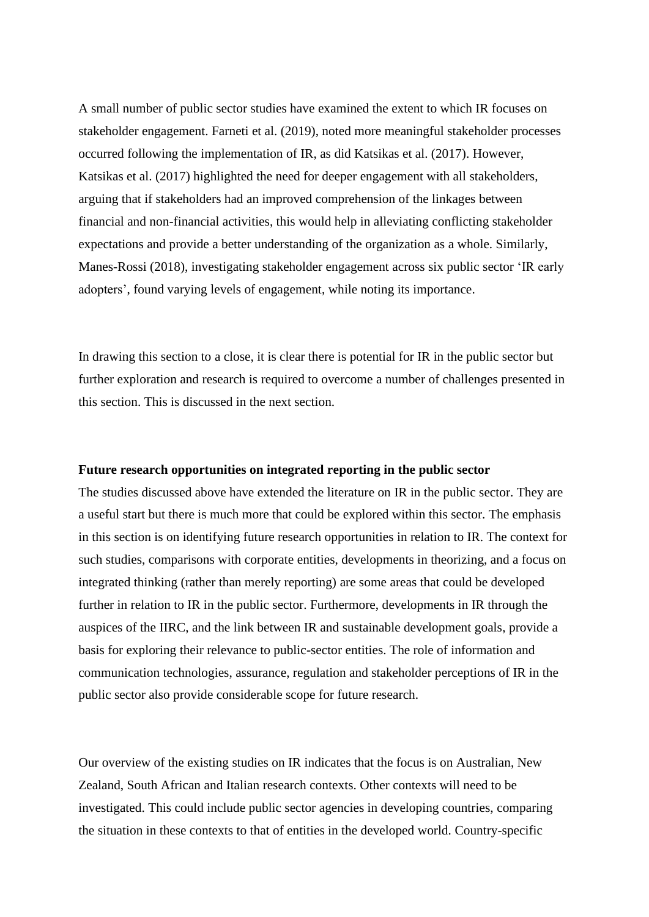A small number of public sector studies have examined the extent to which IR focuses on stakeholder engagement. Farneti et al. (2019), noted more meaningful stakeholder processes occurred following the implementation of IR, as did Katsikas et al. (2017). However, Katsikas et al. (2017) highlighted the need for deeper engagement with all stakeholders, arguing that if stakeholders had an improved comprehension of the linkages between financial and non-financial activities, this would help in alleviating conflicting stakeholder expectations and provide a better understanding of the organization as a whole. Similarly, Manes-Rossi (2018), investigating stakeholder engagement across six public sector 'IR early adopters', found varying levels of engagement, while noting its importance.

In drawing this section to a close, it is clear there is potential for IR in the public sector but further exploration and research is required to overcome a number of challenges presented in this section. This is discussed in the next section.

## **Future research opportunities on integrated reporting in the public sector**

The studies discussed above have extended the literature on IR in the public sector. They are a useful start but there is much more that could be explored within this sector. The emphasis in this section is on identifying future research opportunities in relation to IR. The context for such studies, comparisons with corporate entities, developments in theorizing, and a focus on integrated thinking (rather than merely reporting) are some areas that could be developed further in relation to IR in the public sector. Furthermore, developments in IR through the auspices of the IIRC, and the link between IR and sustainable development goals, provide a basis for exploring their relevance to public-sector entities. The role of information and communication technologies, assurance, regulation and stakeholder perceptions of IR in the public sector also provide considerable scope for future research.

Our overview of the existing studies on IR indicates that the focus is on Australian, New Zealand, South African and Italian research contexts. Other contexts will need to be investigated. This could include public sector agencies in developing countries, comparing the situation in these contexts to that of entities in the developed world. Country-specific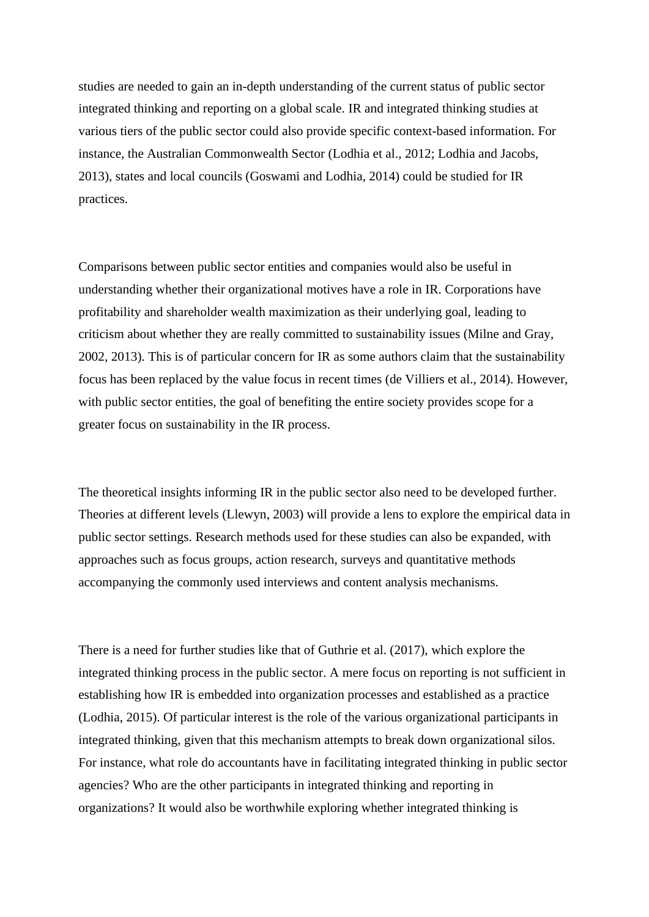studies are needed to gain an in-depth understanding of the current status of public sector integrated thinking and reporting on a global scale. IR and integrated thinking studies at various tiers of the public sector could also provide specific context-based information. For instance, the Australian Commonwealth Sector (Lodhia et al., 2012; Lodhia and Jacobs, 2013), states and local councils (Goswami and Lodhia, 2014) could be studied for IR practices.

Comparisons between public sector entities and companies would also be useful in understanding whether their organizational motives have a role in IR. Corporations have profitability and shareholder wealth maximization as their underlying goal, leading to criticism about whether they are really committed to sustainability issues (Milne and Gray, 2002, 2013). This is of particular concern for IR as some authors claim that the sustainability focus has been replaced by the value focus in recent times (de Villiers et al., 2014). However, with public sector entities, the goal of benefiting the entire society provides scope for a greater focus on sustainability in the IR process.

The theoretical insights informing IR in the public sector also need to be developed further. Theories at different levels (Llewyn, 2003) will provide a lens to explore the empirical data in public sector settings. Research methods used for these studies can also be expanded, with approaches such as focus groups, action research, surveys and quantitative methods accompanying the commonly used interviews and content analysis mechanisms.

There is a need for further studies like that of Guthrie et al. (2017), which explore the integrated thinking process in the public sector. A mere focus on reporting is not sufficient in establishing how IR is embedded into organization processes and established as a practice (Lodhia, 2015). Of particular interest is the role of the various organizational participants in integrated thinking, given that this mechanism attempts to break down organizational silos. For instance, what role do accountants have in facilitating integrated thinking in public sector agencies? Who are the other participants in integrated thinking and reporting in organizations? It would also be worthwhile exploring whether integrated thinking is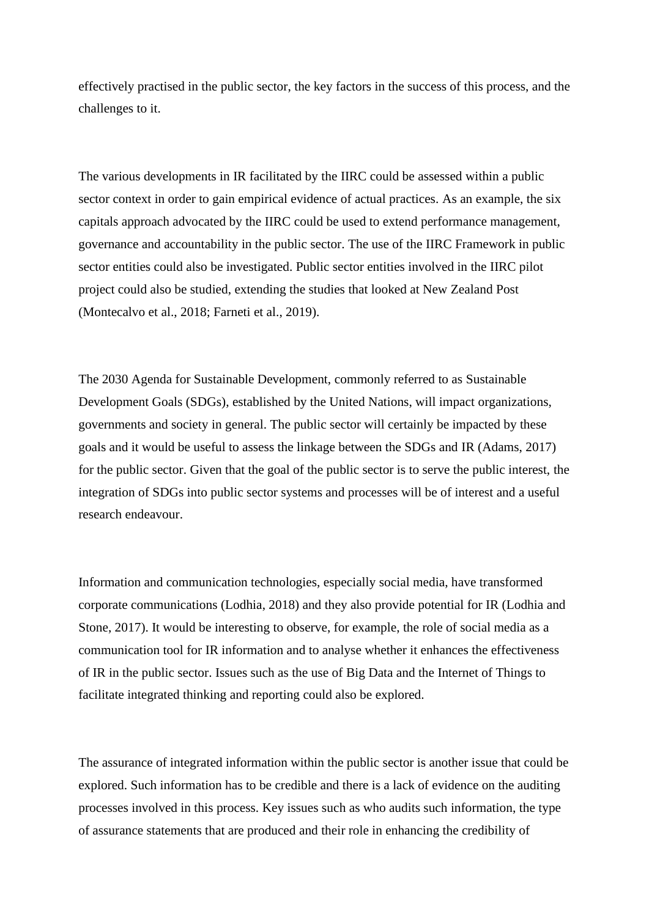effectively practised in the public sector, the key factors in the success of this process, and the challenges to it.

The various developments in IR facilitated by the IIRC could be assessed within a public sector context in order to gain empirical evidence of actual practices. As an example, the six capitals approach advocated by the IIRC could be used to extend performance management, governance and accountability in the public sector. The use of the IIRC Framework in public sector entities could also be investigated. Public sector entities involved in the IIRC pilot project could also be studied, extending the studies that looked at New Zealand Post (Montecalvo et al., 2018; Farneti et al., 2019).

The 2030 Agenda for Sustainable Development, commonly referred to as Sustainable Development Goals (SDGs), established by the United Nations, will impact organizations, governments and society in general. The public sector will certainly be impacted by these goals and it would be useful to assess the linkage between the SDGs and IR (Adams, 2017) for the public sector. Given that the goal of the public sector is to serve the public interest, the integration of SDGs into public sector systems and processes will be of interest and a useful research endeavour.

Information and communication technologies, especially social media, have transformed corporate communications (Lodhia, 2018) and they also provide potential for IR (Lodhia and Stone, 2017). It would be interesting to observe, for example, the role of social media as a communication tool for IR information and to analyse whether it enhances the effectiveness of IR in the public sector. Issues such as the use of Big Data and the Internet of Things to facilitate integrated thinking and reporting could also be explored.

The assurance of integrated information within the public sector is another issue that could be explored. Such information has to be credible and there is a lack of evidence on the auditing processes involved in this process. Key issues such as who audits such information, the type of assurance statements that are produced and their role in enhancing the credibility of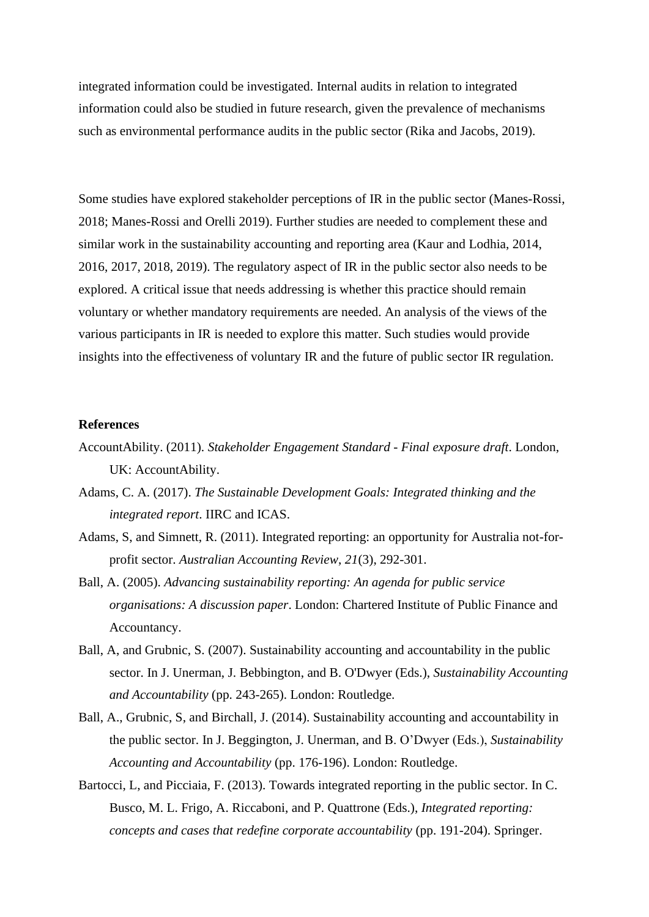integrated information could be investigated. Internal audits in relation to integrated information could also be studied in future research, given the prevalence of mechanisms such as environmental performance audits in the public sector (Rika and Jacobs, 2019).

Some studies have explored stakeholder perceptions of IR in the public sector (Manes-Rossi, 2018; Manes-Rossi and Orelli 2019). Further studies are needed to complement these and similar work in the sustainability accounting and reporting area (Kaur and Lodhia, 2014, 2016, 2017, 2018, 2019). The regulatory aspect of IR in the public sector also needs to be explored. A critical issue that needs addressing is whether this practice should remain voluntary or whether mandatory requirements are needed. An analysis of the views of the various participants in IR is needed to explore this matter. Such studies would provide insights into the effectiveness of voluntary IR and the future of public sector IR regulation.

## **References**

- AccountAbility. (2011). *Stakeholder Engagement Standard - Final exposure draft*. London, UK: AccountAbility.
- Adams, C. A. (2017). *The Sustainable Development Goals: Integrated thinking and the integrated report*. IIRC and ICAS.
- Adams, S, and Simnett, R. (2011). Integrated reporting: an opportunity for Australia not-forprofit sector. *Australian Accounting Review*, *21*(3), 292-301.
- Ball, A. (2005). *Advancing sustainability reporting: An agenda for public service organisations: A discussion paper*. London: Chartered Institute of Public Finance and Accountancy.
- Ball, A, and Grubnic, S. (2007). Sustainability accounting and accountability in the public sector. In J. Unerman, J. Bebbington, and B. O'Dwyer (Eds.), *Sustainability Accounting and Accountability* (pp. 243-265). London: Routledge.
- Ball, A., Grubnic, S, and Birchall, J. (2014). Sustainability accounting and accountability in the public sector. In J. Beggington, J. Unerman, and B. O'Dwyer (Eds.), *Sustainability Accounting and Accountability* (pp. 176-196). London: Routledge.
- Bartocci, L, and Picciaia, F. (2013). Towards integrated reporting in the public sector. In C. Busco, M. L. Frigo, A. Riccaboni, and P. Quattrone (Eds.), *Integrated reporting: concepts and cases that redefine corporate accountability* (pp. 191-204). Springer.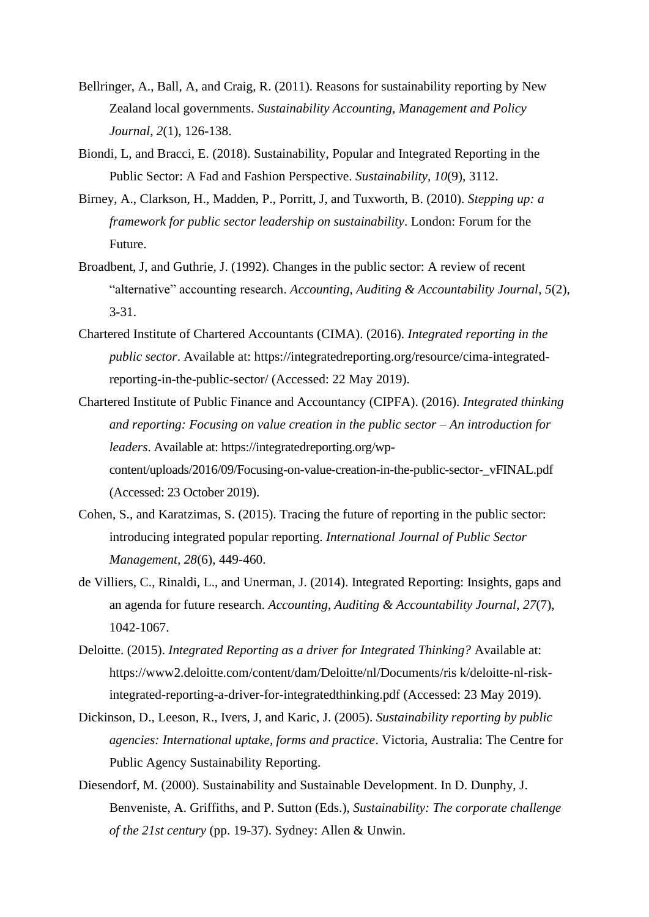- Bellringer, A., Ball, A, and Craig, R. (2011). Reasons for sustainability reporting by New Zealand local governments. *Sustainability Accounting, Management and Policy Journal*, *2*(1), 126-138.
- Biondi, L, and Bracci, E. (2018). Sustainability, Popular and Integrated Reporting in the Public Sector: A Fad and Fashion Perspective. *Sustainability, 10*(9), 3112.
- Birney, A., Clarkson, H., Madden, P., Porritt, J, and Tuxworth, B. (2010). *Stepping up: a framework for public sector leadership on sustainability*. London: Forum for the Future.
- Broadbent, J, and Guthrie, J. (1992). Changes in the public sector: A review of recent "alternative" accounting research. *Accounting, Auditing & Accountability Journal*, *5*(2), 3-31.
- Chartered Institute of Chartered Accountants (CIMA). (2016). *Integrated reporting in the public sector*. Available at: https://integratedreporting.org/resource/cima-integratedreporting-in-the-public-sector/ (Accessed: 22 May 2019).
- Chartered Institute of Public Finance and Accountancy (CIPFA). (2016). *Integrated thinking and reporting: Focusing on value creation in the public sector – An introduction for leaders*. Available at: https://integratedreporting.org/wpcontent/uploads/2016/09/Focusing-on-value-creation-in-the-public-sector-\_vFINAL.pdf (Accessed: 23 October 2019).
- Cohen, S., and Karatzimas, S. (2015). Tracing the future of reporting in the public sector: introducing integrated popular reporting. *International Journal of Public Sector Management, 28*(6), 449-460.
- de Villiers, C., Rinaldi, L., and Unerman, J. (2014). Integrated Reporting: Insights, gaps and an agenda for future research. *Accounting, Auditing & Accountability Journal*, *27*(7), 1042-1067.
- Deloitte. (2015). *Integrated Reporting as a driver for Integrated Thinking?* Available at: https://www2.deloitte.com/content/dam/Deloitte/nl/Documents/ris k/deloitte-nl-riskintegrated-reporting-a-driver-for-integratedthinking.pdf (Accessed: 23 May 2019).
- Dickinson, D., Leeson, R., Ivers, J, and Karic, J. (2005). *Sustainability reporting by public agencies: International uptake, forms and practice*. Victoria, Australia: The Centre for Public Agency Sustainability Reporting.
- Diesendorf, M. (2000). Sustainability and Sustainable Development. In D. Dunphy, J. Benveniste, A. Griffiths, and P. Sutton (Eds.), *Sustainability: The corporate challenge of the 21st century* (pp. 19-37). Sydney: Allen & Unwin.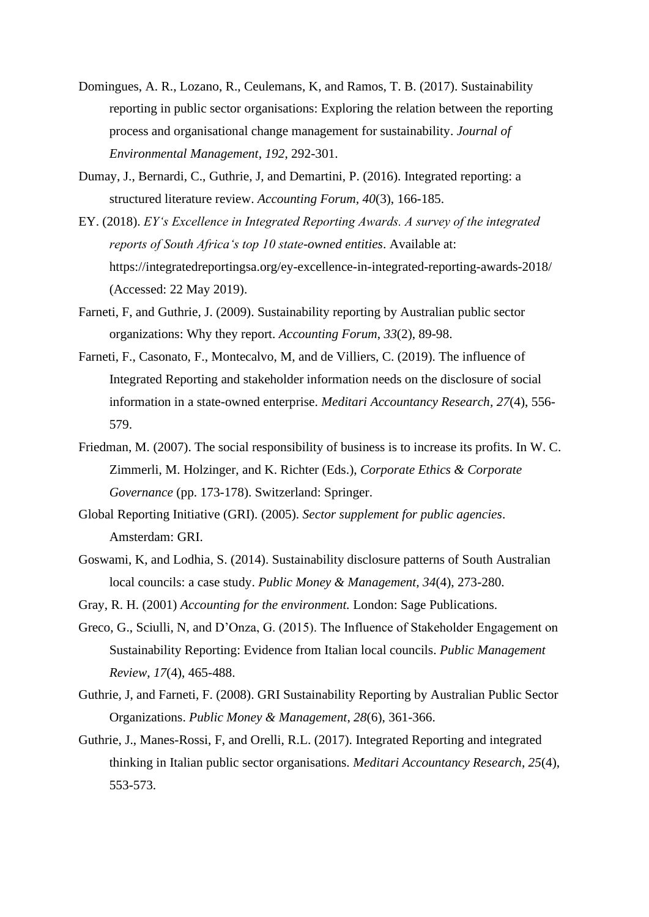- Domingues, A. R., Lozano, R., Ceulemans, K, and Ramos, T. B. (2017). Sustainability reporting in public sector organisations: Exploring the relation between the reporting process and organisational change management for sustainability. *Journal of Environmental Management*, *192*, 292-301.
- Dumay, J., Bernardi, C., Guthrie, J, and Demartini, P. (2016). Integrated reporting: a structured literature review. *Accounting Forum, 40*(3), 166-185.
- EY. (2018). *EY's Excellence in Integrated Reporting Awards. A survey of the integrated reports of South Africa's top 10 state-owned entities*. Available at: https://integratedreportingsa.org/ey-excellence-in-integrated-reporting-awards-2018/ (Accessed: 22 May 2019).
- Farneti, F, and Guthrie, J. (2009). Sustainability reporting by Australian public sector organizations: Why they report. *Accounting Forum*, *33*(2), 89-98.
- Farneti, F., Casonato, F., Montecalvo, M, and de Villiers, C. (2019). The influence of Integrated Reporting and stakeholder information needs on the disclosure of social information in a state-owned enterprise. *Meditari Accountancy Research, 27*(4), 556- 579.
- Friedman, M. (2007). The social responsibility of business is to increase its profits. In W. C. Zimmerli, M. Holzinger, and K. Richter (Eds.), *Corporate Ethics & Corporate Governance* (pp. 173-178). Switzerland: Springer.
- Global Reporting Initiative (GRI). (2005). *Sector supplement for public agencies*. Amsterdam: GRI.
- Goswami, K, and Lodhia, S. (2014). Sustainability disclosure patterns of South Australian local councils: a case study. *Public Money & Management, 34*(4), 273-280.
- Gray, R. H. (2001) *Accounting for the environment.* London: Sage Publications.
- Greco, G., Sciulli, N, and D'Onza, G. (2015). The Influence of Stakeholder Engagement on Sustainability Reporting: Evidence from Italian local councils. *Public Management Review*, *17*(4), 465-488.
- Guthrie, J, and Farneti, F. (2008). GRI Sustainability Reporting by Australian Public Sector Organizations. *Public Money & Management*, *28*(6), 361-366.
- Guthrie, J., Manes-Rossi, F, and Orelli, R.L. (2017). Integrated Reporting and integrated thinking in Italian public sector organisations. *Meditari Accountancy Research*, *25*(4), 553-573.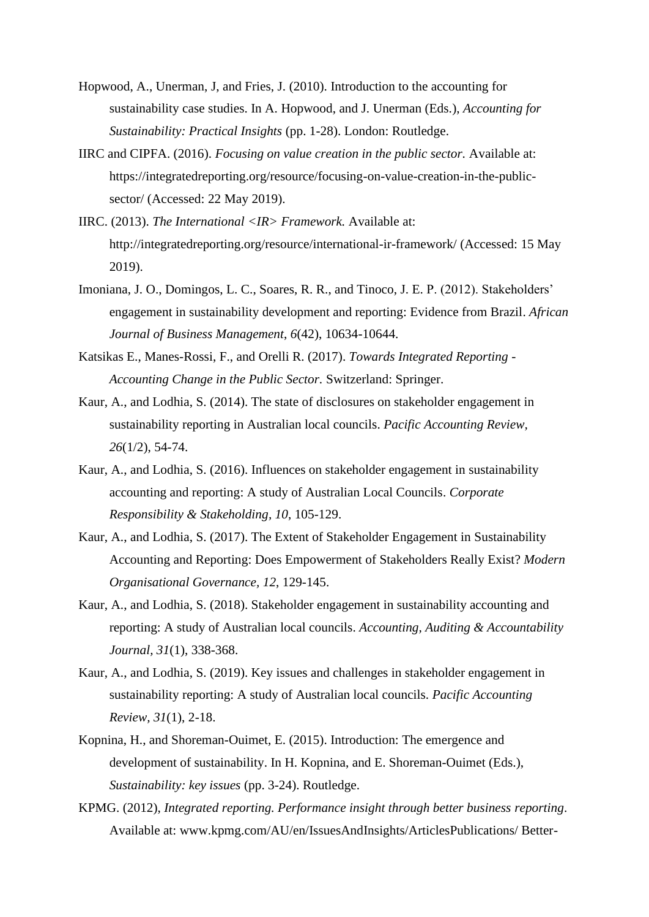- Hopwood, A., Unerman, J, and Fries, J. (2010). Introduction to the accounting for sustainability case studies. In A. Hopwood, and J. Unerman (Eds.), *Accounting for Sustainability: Practical Insights* (pp. 1-28). London: Routledge.
- IIRC and CIPFA. (2016). *Focusing on value creation in the public sector.* Available at: https://integratedreporting.org/resource/focusing-on-value-creation-in-the-publicsector/ (Accessed: 22 May 2019).
- IIRC. (2013). *The International <IR> Framework.* Available at: http://integratedreporting.org/resource/international-ir-framework/ (Accessed: 15 May 2019).
- Imoniana, J. O., Domingos, L. C., Soares, R. R., and Tinoco, J. E. P. (2012). Stakeholders' engagement in sustainability development and reporting: Evidence from Brazil. *African Journal of Business Management*, *6*(42), 10634-10644.
- Katsikas E., Manes-Rossi, F., and Orelli R. (2017). *Towards Integrated Reporting - Accounting Change in the Public Sector.* Switzerland: Springer.
- Kaur, A., and Lodhia, S. (2014). The state of disclosures on stakeholder engagement in sustainability reporting in Australian local councils. *Pacific Accounting Review, 26*(1/2), 54-74.
- Kaur, A., and Lodhia, S. (2016). Influences on stakeholder engagement in sustainability accounting and reporting: A study of Australian Local Councils. *Corporate Responsibility & Stakeholding, 10*, 105-129.
- Kaur, A., and Lodhia, S. (2017). The Extent of Stakeholder Engagement in Sustainability Accounting and Reporting: Does Empowerment of Stakeholders Really Exist? *Modern Organisational Governance, 12*, 129-145.
- Kaur, A., and Lodhia, S. (2018). Stakeholder engagement in sustainability accounting and reporting: A study of Australian local councils. *Accounting, Auditing & Accountability Journal, 31*(1), 338-368.
- Kaur, A., and Lodhia, S. (2019). Key issues and challenges in stakeholder engagement in sustainability reporting: A study of Australian local councils. *Pacific Accounting Review, 31*(1), 2-18.
- Kopnina, H., and Shoreman-Ouimet, E. (2015). Introduction: The emergence and development of sustainability. In H. Kopnina, and E. Shoreman-Ouimet (Eds.), *Sustainability: key issues* (pp. 3-24). Routledge.
- KPMG. (2012), *Integrated reporting. Performance insight through better business reporting*. Available at: www.kpmg.com/AU/en/IssuesAndInsights/ArticlesPublications/ Better-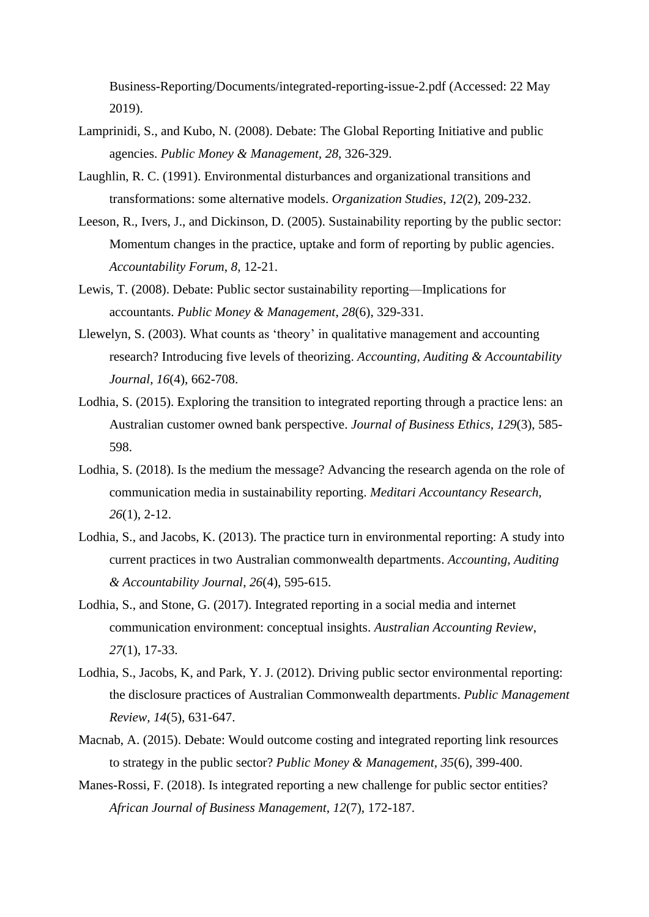Business-Reporting/Documents/integrated-reporting-issue-2.pdf (Accessed: 22 May 2019).

- Lamprinidi, S., and Kubo, N. (2008). Debate: The Global Reporting Initiative and public agencies. *Public Money & Management, 28*, 326-329.
- Laughlin, R. C. (1991). Environmental disturbances and organizational transitions and transformations: some alternative models. *Organization Studies*, *12*(2), 209-232.
- Leeson, R., Ivers, J., and Dickinson, D. (2005). Sustainability reporting by the public sector: Momentum changes in the practice, uptake and form of reporting by public agencies. *Accountability Forum*, *8*, 12-21.
- Lewis, T. (2008). Debate: Public sector sustainability reporting—Implications for accountants. *Public Money & Management*, *28*(6), 329-331.
- Llewelyn, S. (2003). What counts as 'theory' in qualitative management and accounting research? Introducing five levels of theorizing. *Accounting, Auditing & Accountability Journal, 16*(4), 662-708.
- Lodhia, S. (2015). Exploring the transition to integrated reporting through a practice lens: an Australian customer owned bank perspective. *Journal of Business Ethics, 129*(3), 585- 598.
- Lodhia, S. (2018). Is the medium the message? Advancing the research agenda on the role of communication media in sustainability reporting. *Meditari Accountancy Research, 26*(1), 2-12.
- Lodhia, S., and Jacobs, K. (2013). The practice turn in environmental reporting: A study into current practices in two Australian commonwealth departments. *Accounting, Auditing & Accountability Journal*, *26*(4), 595-615.
- Lodhia, S., and Stone, G. (2017). Integrated reporting in a social media and internet communication environment: conceptual insights. *Australian Accounting Review*, *27*(1), 17-33.
- Lodhia, S., Jacobs, K, and Park, Y. J. (2012). Driving public sector environmental reporting: the disclosure practices of Australian Commonwealth departments. *Public Management Review, 14*(5), 631-647.
- Macnab, A. (2015). Debate: Would outcome costing and integrated reporting link resources to strategy in the public sector? *Public Money & Management, 35*(6), 399-400.
- Manes-Rossi, F. (2018). Is integrated reporting a new challenge for public sector entities? *African Journal of Business Management*, *12*(7), 172-187.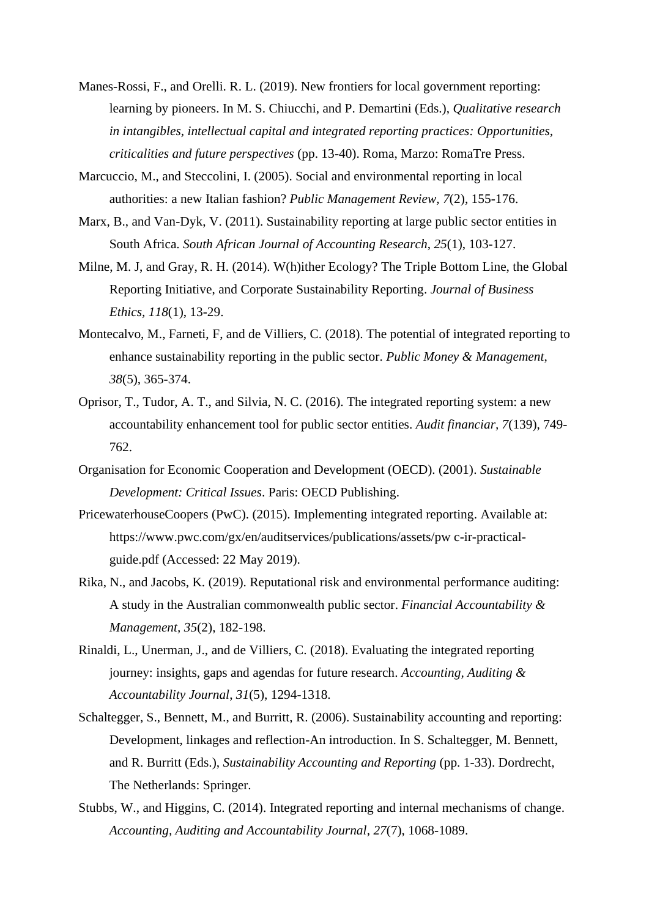- Manes-Rossi, F., and Orelli. R. L. (2019). New frontiers for local government reporting: learning by pioneers. In M. S. Chiucchi, and P. Demartini (Eds.), *Qualitative research in intangibles, intellectual capital and integrated reporting practices: Opportunities, criticalities and future perspectives* (pp. 13-40). Roma, Marzo: RomaTre Press.
- Marcuccio, M., and Steccolini, I. (2005). Social and environmental reporting in local authorities: a new Italian fashion? *Public Management Review, 7*(2), 155-176.
- Marx, B., and Van-Dyk, V. (2011). Sustainability reporting at large public sector entities in South Africa. *South African Journal of Accounting Research*, *25*(1), 103-127.
- Milne, M. J, and Gray, R. H. (2014). W(h)ither Ecology? The Triple Bottom Line, the Global Reporting Initiative, and Corporate Sustainability Reporting. *Journal of Business Ethics, 118*(1), 13-29.
- Montecalvo, M., Farneti, F, and de Villiers, C. (2018). The potential of integrated reporting to enhance sustainability reporting in the public sector. *Public Money & Management*, *38*(5), 365-374.
- Oprisor, T., Tudor, A. T., and Silvia, N. C. (2016). The integrated reporting system: a new accountability enhancement tool for public sector entities. *Audit financiar, 7*(139), 749- 762.
- Organisation for Economic Cooperation and Development (OECD). (2001). *Sustainable Development: Critical Issues*. Paris: OECD Publishing.
- PricewaterhouseCoopers (PwC). (2015). Implementing integrated reporting. Available at: https://www.pwc.com/gx/en/auditservices/publications/assets/pw c-ir-practicalguide.pdf (Accessed: 22 May 2019).
- Rika, N., and Jacobs, K. (2019). Reputational risk and environmental performance auditing: A study in the Australian commonwealth public sector. *Financial Accountability & Management, 35*(2), 182-198.
- Rinaldi, L., Unerman, J., and de Villiers, C. (2018). Evaluating the integrated reporting journey: insights, gaps and agendas for future research. *Accounting, Auditing & Accountability Journal*, *31*(5), 1294-1318.
- Schaltegger, S., Bennett, M., and Burritt, R. (2006). Sustainability accounting and reporting: Development, linkages and reflection-An introduction. In S. Schaltegger, M. Bennett, and R. Burritt (Eds.), *Sustainability Accounting and Reporting* (pp. 1-33). Dordrecht, The Netherlands: Springer.
- Stubbs, W., and Higgins, C. (2014). Integrated reporting and internal mechanisms of change. *Accounting, Auditing and Accountability Journal, 27*(7), 1068-1089.